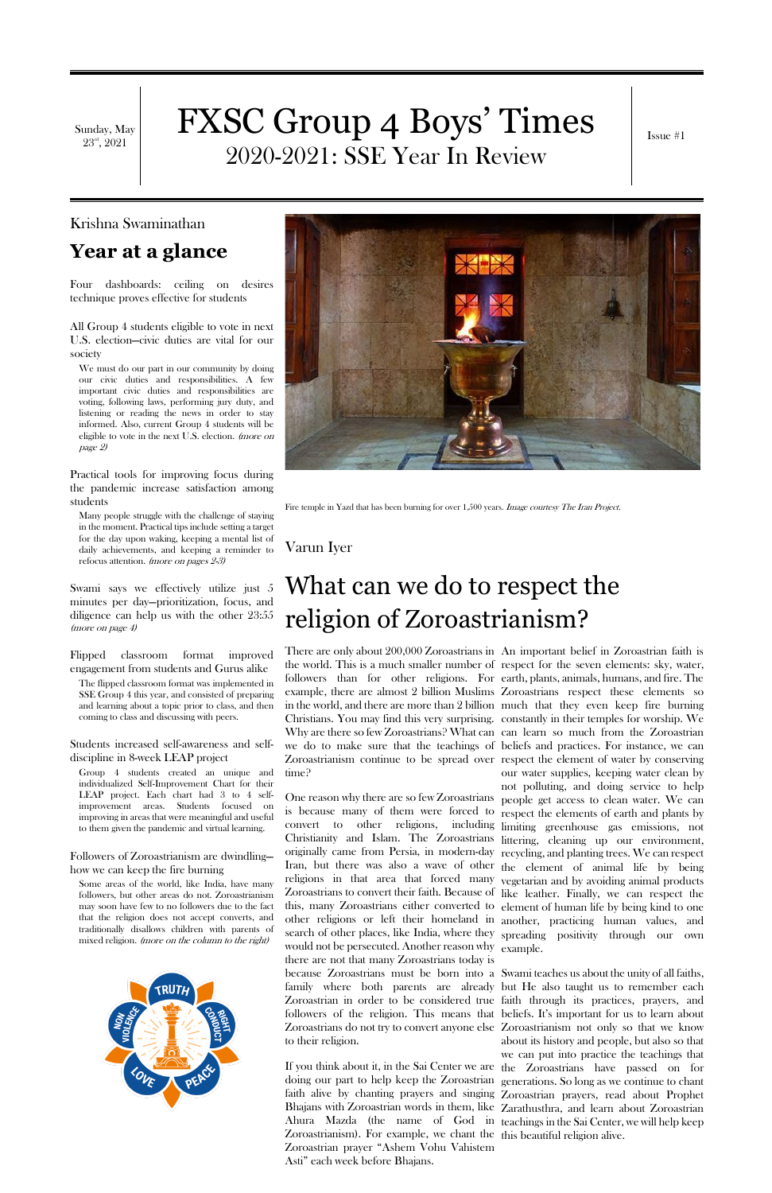Sunday, May  $23^{\rm rd}, 2021$ 

# FXSC Group 4 Boys' Times 2020-2021: SSE Year In Review

Issue #1

Krishna Swaminathan

**Year at a glance**

Four dashboards: ceiling on desires technique proves effective for students

All Group 4 students eligible to vote in next U.S. election—civic duties are vital for our society

We must do our part in our community by doing our civic duties and responsibilities. A few important civic duties and responsibilities are voting, following laws, performing jury duty, and listening or reading the news in order to stay informed. Also, current Group 4 students will be eligible to vote in the next U.S. election. (more on page 2)

Practical tools for improving focus during the pandemic increase satisfaction among students

Many people struggle with the challenge of staying in the moment. Practical tips include setting a target for the day upon waking, keeping a mental list of daily achievements, and keeping a reminder to refocus attention. (more on pages 2-3)

Some areas of the world, like India, have many followers, but other areas do not. Zoroastrianism may soon have few to no followers due to the fact that the religion does not accept converts, and traditionally disallows children with parents of mixed religion. *(more on the column to the right)* 



Swami says we effectively utilize just 5 minutes per day—prioritization, focus, and diligence can help us with the other 23:55 (more on page 4)

Flipped classroom format improved engagement from students and Gurus alike

The flipped classroom format was implemented in SSE Group 4 this year, and consisted of preparing and learning about a topic prior to class, and then coming to class and discussing with peers.

Students increased self-awareness and selfdiscipline in 8-week LEAP project

Group 4 students created an unique and individualized Self-Improvement Chart for their LEAP project. Each chart had 3 to 4 selfimprovement areas. Students focused on improving in areas that were meaningful and useful to them given the pandemic and virtual learning.

Followers of Zoroastrianism are dwindling how we can keep the fire burning



Fire temple in Yazd that has been burning for over 1,500 years. *Image courtesy The Iran Project.* 

#### Varun Iyer

# What can we do to respect the religion of Zoroastrianism?

There are only about 200,000 Zoroastrians in An important belief in Zoroastrian faith is the world. This is a much smaller number of respect for the seven elements: sky, water, followers than for other religions. For earth, plants, animals, humans, and fire. The example, there are almost 2 billion Muslims Zoroastrians respect these elements so in the world, and there are more than 2 billion much that they even keep fire burning Christians. You may find this very surprising. constantly in their temples for worship. We Why are there so few Zoroastrians? What can can learn so much from the Zoroastrian we do to make sure that the teachings of beliefs and practices. For instance, we can Zoroastrianism continue to be spread over respect the element of water by conserving time?

One reason why there are so few Zoroastrians people get access to clean water. We can is because many of them were forced to respect the elements of earth and plants by convert to other religions, including limiting greenhouse gas emissions, not Christianity and Islam. The Zoroastrians littering, cleaning up our environment, originally came from Persia, in modern-day recycling, and planting trees. We can respect Iran, but there was also a wave of other the element of animal life by being religions in that area that forced many vegetarian and by avoiding animal products Zoroastrians to convert their faith. Because of like leather. Finally, we can respect the this, many Zoroastrians either converted to element of human life by being kind to one other religions or left their homeland in another, practicing human values, and search of other places, like India, where they spreading positivity through our own would not be persecuted. Another reason why example. there are not that many Zoroastrians today is

If you think about it, in the Sai Center we are the Zoroastrians have passed on for doing our part to help keep the Zoroastrian generations. So long as we continue to chant faith alive by chanting prayers and singing Zoroastrian prayers, read about Prophet Bhajans with Zoroastrian words in them, like Zarathusthra, and learn about Zoroastrian Ahura Mazda (the name of God in teachings in the Sai Center, we will help keep Zoroastrianism). For example, we chant the this beautiful religion alive.Zoroastrian prayer "Ashem Vohu Vahistem Asti" each week before Bhajans.

because Zoroastrians must be born into a Swami teaches us about the unity of all faiths, family where both parents are already but He also taught us to remember each Zoroastrian in order to be considered true faith through its practices, prayers, and followers of the religion. This means that beliefs. It's important for us to learn about Zoroastrians do not try to convert anyone else Zoroastrianism not only so that we know to their religion. about its history and people, but also so that

our water supplies, keeping water clean by not polluting, and doing service to help

we can put into practice the teachings that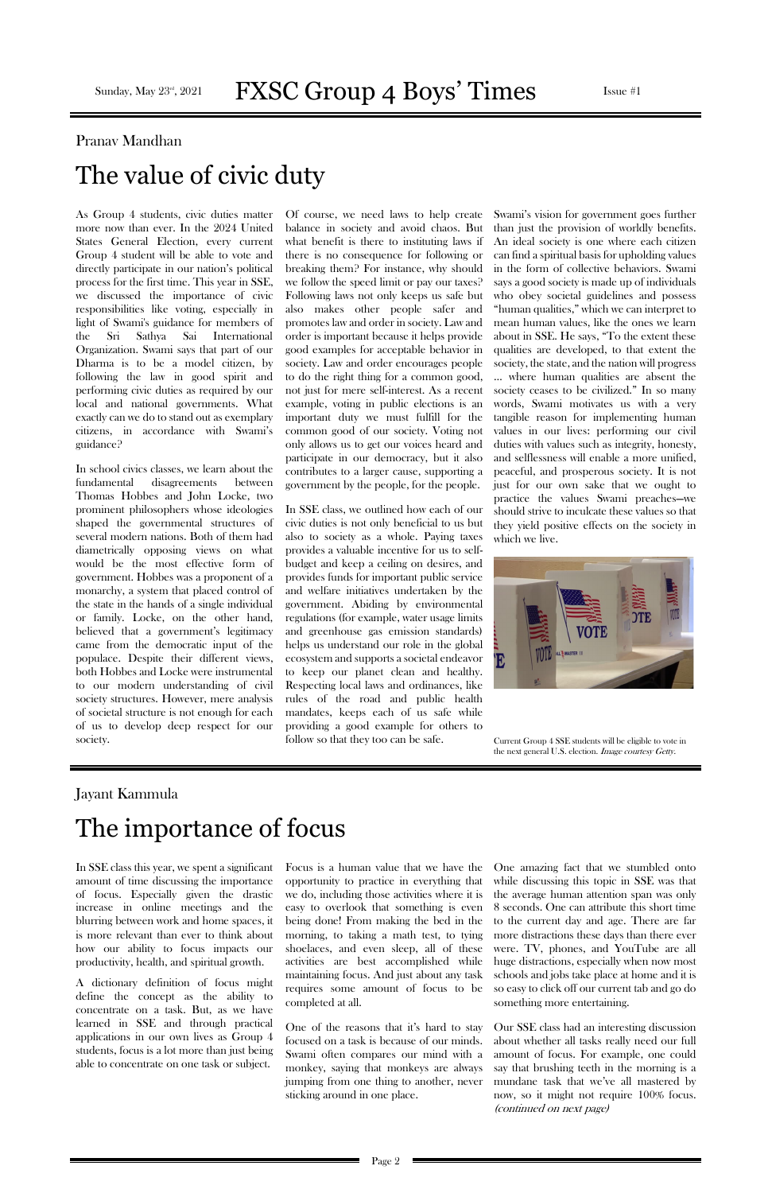## Sunday, May  $23^{\text{rd}}$ ,  $2021$  **FXSC Group 4 Boys' Times** Issue #1

## Pranav Mandhan The value of civic duty

As Group 4 students, civic duties matter more now than ever. In the 2024 United States General Election, every current Group 4 student will be able to vote and directly participate in our nation's political process for the first time. This year in SSE, we discussed the importance of civic responsibilities like voting, especially in light of Swami's guidance for members of the Sri Sathya Sai International Organization. Swami says that part of our Dharma is to be a model citizen, by following the law in good spirit and performing civic duties as required by our local and national governments. What exactly can we do to stand out as exemplary citizens, in accordance with Swami's guidance?

In school civics classes, we learn about the fundamental disagreements between Thomas Hobbes and John Locke, two prominent philosophers whose ideologies shaped the governmental structures of several modern nations. Both of them had diametrically opposing views on what would be the most effective form of government. Hobbes was a proponent of a monarchy, a system that placed control of the state in the hands of a single individual or family. Locke, on the other hand, believed that a government's legitimacy came from the democratic input of the populace. Despite their different views, both Hobbes and Locke were instrumental to our modern understanding of civil society structures. However, mere analysis of societal structure is not enough for each of us to develop deep respect for our society.

Of course, we need laws to help create balance in society and avoid chaos. But what benefit is there to instituting laws if there is no consequence for following or breaking them? For instance, why should we follow the speed limit or pay our taxes? Following laws not only keeps us safe but also makes other people safer and promotes law and order in society. Law and order is important because it helps provide good examples for acceptable behavior in society. Law and order encourages people to do the right thing for a common good, not just for mere self-interest. As a recent example, voting in public elections is an important duty we must fulfill for the common good of our society. Voting not only allows us to get our voices heard and participate in our democracy, but it also contributes to a larger cause, supporting a government by the people, for the people.



Current Group 4 SSE students will be eligible to vote in the next general U.S. election. Image courtesy Getty.

In SSE class, we outlined how each of our civic duties is not only beneficial to us but also to society as a whole. Paying taxes provides a valuable incentive for us to selfbudget and keep a ceiling on desires, and provides funds for important public service and welfare initiatives undertaken by the government. Abiding by environmental regulations (for example, water usage limits and greenhouse gas emission standards) helps us understand our role in the global ecosystem and supports a societal endeavor to keep our planet clean and healthy. Respecting local laws and ordinances, like rules of the road and public health mandates, keeps each of us safe while providing a good example for others to follow so that they too can be safe.

Swami's vision for government goes further than just the provision of worldly benefits. An ideal society is one where each citizen can find a spiritual basis for upholding values in the form of collective behaviors. Swami says a good society is made up of individuals who obey societal guidelines and possess "human qualities," which we can interpret to mean human values, like the ones we learn about in SSE. He says, "To the extent these qualities are developed, to that extent the society, the state, and the nation will progress … where human qualities are absent the society ceases to be civilized." In so many words, Swami motivates us with a very tangible reason for implementing human values in our lives: performing our civil duties with values such as integrity, honesty, and selflessness will enable a more unified, peaceful, and prosperous society. It is not just for our own sake that we ought to practice the values Swami preaches—we should strive to inculcate these values so that they yield positive effects on the society in which we live.

#### Jayant Kammula

# The importance of focus

amount of time discussing the importance of focus. Especially given the drastic increase in online meetings and the blurring between work and home spaces, it is more relevant than ever to think about how our ability to focus impacts our productivity, health, and spiritual growth.

A dictionary definition of focus might define the concept as the ability to concentrate on a task. But, as we have learned in SSE and through practical applications in our own lives as Group 4 students, focus is a lot more than just being able to concentrate on one task or subject.

In SSE class this year, we spent a significant Focus is a human value that we have the One amazing fact that we stumbled onto

opportunity to practice in everything that we do, including those activities where it is easy to overlook that something is even being done! From making the bed in the morning, to taking a math test, to tying shoelaces, and even sleep, all of these activities are best accomplished while maintaining focus. And just about any task requires some amount of focus to be completed at all.

One of the reasons that it's hard to stay focused on a task is because of our minds. Swami often compares our mind with a monkey, saying that monkeys are always jumping from one thing to another, never sticking around in one place.

while discussing this topic in SSE was that the average human attention span was only 8 seconds. One can attribute this short time to the current day and age. There are far more distractions these days than there ever were. TV, phones, and YouTube are all huge distractions, especially when now most schools and jobs take place at home and it is so easy to click off our current tab and go do something more entertaining.

Our SSE class had an interesting discussion about whether all tasks really need our full amount of focus. For example, one could say that brushing teeth in the morning is a mundane task that we've all mastered by now, so it might not require 100% focus. (continued on next page)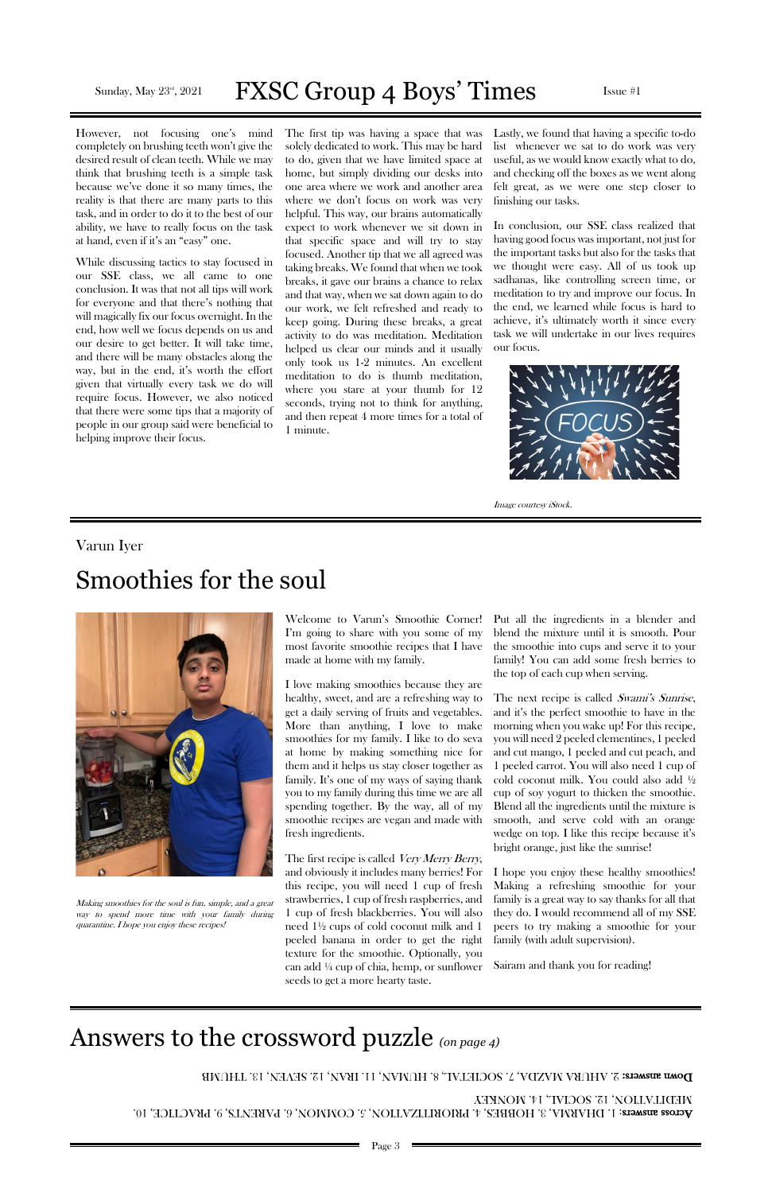#### Sunday, May  $23^{\text{rd}}$ ,  $2021$  **FXSC Group 4 Boys' Times** Issue #1

However, not focusing one's mind completely on brushing teeth won't give the desired result of clean teeth. While we may think that brushing teeth is a simple task because we've done it so many times, the reality is that there are many parts to this task, and in order to do it to the best of our ability, we have to really focus on the task at hand, even if it's an "easy" one.

While discussing tactics to stay focused in our SSE class, we all came to one conclusion. It was that not all tips will work for everyone and that there's nothing that will magically fix our focus overnight. In the end, how well we focus depends on us and our desire to get better. It will take time, and there will be many obstacles along the way, but in the end, it's worth the effort given that virtually every task we do will require focus. However, we also noticed that there were some tips that a majority of people in our group said were beneficial to helping improve their focus.

The first tip was having a space that was solely dedicated to work. This may be hard to do, given that we have limited space at home, but simply dividing our desks into one area where we work and another area where we don't focus on work was very helpful. This way, our brains automatically expect to work whenever we sit down in that specific space and will try to stay focused. Another tip that we all agreed was taking breaks. We found that when we took breaks, it gave our brains a chance to relax and that way, when we sat down again to do our work, we felt refreshed and ready to keep going. During these breaks, a great activity to do was meditation. Meditation helped us clear our minds and it usually only took us 1-2 minutes. An excellent meditation to do is thumb meditation, where you stare at your thumb for 12 seconds, trying not to think for anything, and then repeat 4 more times for a total of 1 minute.

The first recipe is called Very Merry Berry, and obviously it includes many berries! For Lastly, we found that having a specific to-do list whenever we sat to do work was very useful, as we would know exactly what to do, and checking off the boxes as we went along felt great, as we were one step closer to finishing our tasks.

The next recipe is called Swami's Sunrise, and it's the perfect smoothie to have in the morning when you wake up! For this recipe, you will need 2 peeled clementines, 1 peeled and cut mango, 1 peeled and cut peach, and 1 peeled carrot. You will also need 1 cup of cold coconut milk. You could also add ½ cup of soy yogurt to thicken the smoothie. Blend all the ingredients until the mixture is smooth, and serve cold with an orange wedge on top. I like this recipe because it's bright orange, just like the sunrise!

In conclusion, our SSE class realized that having good focus was important, not just for the important tasks but also for the tasks that we thought were easy. All of us took up sadhanas, like controlling screen time, or meditation to try and improve our focus. In the end, we learned while focus is hard to achieve, it's ultimately worth it since every task we will undertake in our lives requires our focus.



Image courtesy iStock.

#### Varun Iyer

## Smoothies for the soul



Making smoothies for the soul is fun, simple, and a great way to spend more time with your family during quarantine. I hope you enjoy these recipes!

Welcome to Varun's Smoothie Corner! I'm going to share with you some of my most favorite smoothie recipes that I have made at home with my family.

I love making smoothies because they are healthy, sweet, and are a refreshing way to get a daily serving of fruits and vegetables. More than anything, I love to make smoothies for my family. I like to do seva at home by making something nice for them and it helps us stay closer together as family. It's one of my ways of saying thank you to my family during this time we are all spending together. By the way, all of my smoothie recipes are vegan and made with fresh ingredients.

this recipe, you will need 1 cup of fresh strawberries, 1 cup of fresh raspberries, and 1 cup of fresh blackberries. You will also need 1½ cups of cold coconut milk and 1 peeled banana in order to get the right texture for the smoothie. Optionally, you can add ¼ cup of chia, hemp, or sunflower seeds to get a more hearty taste.

Put all the ingredients in a blender and blend the mixture until it is smooth. Pour the smoothie into cups and serve it to your family! You can add some fresh berries to the top of each cup when serving.

I hope you enjoy these healthy smoothies! Making a refreshing smoothie for your family is a great way to say thanks for all that they do. I would recommend all of my SSE peers to try making a smoothie for your family (with adult supervision).

Sairam and thank you for reading!

## Answers to the crossword puzzle *(on page 4)*

DOWN SUSAMERS: 2. AHURA MAZDA, 7. SOCIETAL, 8. LAUMA, 11. IRAN, 12. SEVEN, 13. IHUMB

 $\Lambda$ cross answers: 1. DHARAA, 3. HOBBES, 4. PRIORITZATION, 5. COMMON, 6. PARENTS, 9. PRACTICE, 10. MEDITATION, 12. SOCIAL, 14. MONKEY